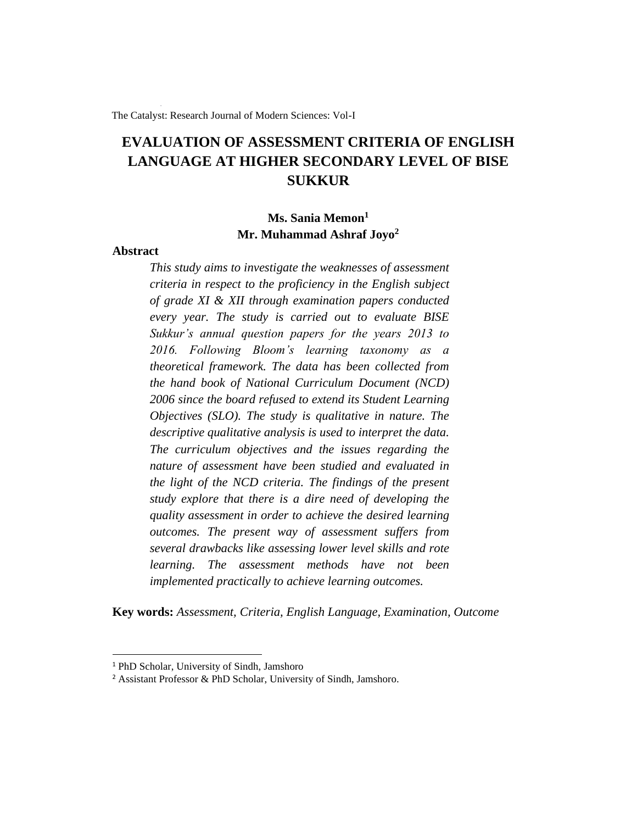The Catalyst: Research Journal of Modern Sciences: Vol-I

# **EVALUATION OF ASSESSMENT CRITERIA OF ENGLISH LANGUAGE AT HIGHER SECONDARY LEVEL OF BISE SUKKUR**

## **Ms. Sania Memon<sup>1</sup> Mr. Muhammad Ashraf Joyo<sup>2</sup>**

## **Abstract**

*This study aims to investigate the weaknesses of assessment criteria in respect to the proficiency in the English subject of grade XI & XII through examination papers conducted every year. The study is carried out to evaluate BISE Sukkur's annual question papers for the years 2013 to 2016. Following Bloom's learning taxonomy as a theoretical framework. The data has been collected from the hand book of National Curriculum Document (NCD) 2006 since the board refused to extend its Student Learning Objectives (SLO). The study is qualitative in nature. The descriptive qualitative analysis is used to interpret the data. The curriculum objectives and the issues regarding the nature of assessment have been studied and evaluated in the light of the NCD criteria. The findings of the present study explore that there is a dire need of developing the quality assessment in order to achieve the desired learning outcomes. The present way of assessment suffers from several drawbacks like assessing lower level skills and rote learning. The assessment methods have not been implemented practically to achieve learning outcomes.*

**Key words:** *Assessment, Criteria, English Language, Examination, Outcome*

<sup>1</sup> PhD Scholar, University of Sindh, Jamshoro

<sup>2</sup> Assistant Professor & PhD Scholar, University of Sindh, Jamshoro.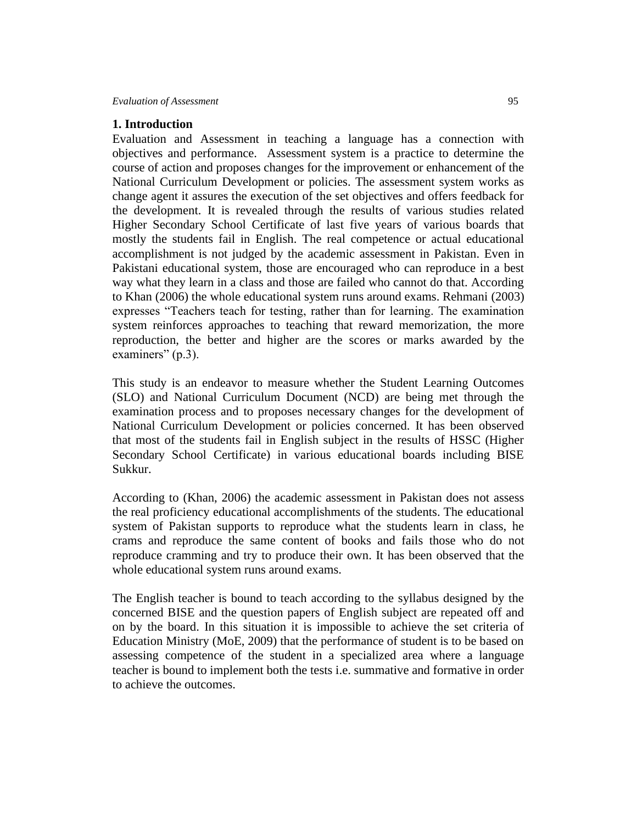## **1. Introduction**

Evaluation and Assessment in teaching a language has a connection with objectives and performance. Assessment system is a practice to determine the course of action and proposes changes for the improvement or enhancement of the National Curriculum Development or policies. The assessment system works as change agent it assures the execution of the set objectives and offers feedback for the development. It is revealed through the results of various studies related Higher Secondary School Certificate of last five years of various boards that mostly the students fail in English. The real competence or actual educational accomplishment is not judged by the academic assessment in Pakistan. Even in Pakistani educational system, those are encouraged who can reproduce in a best way what they learn in a class and those are failed who cannot do that. According to Khan (2006) the whole educational system runs around exams. Rehmani (2003) expresses "Teachers teach for testing, rather than for learning. The examination system reinforces approaches to teaching that reward memorization, the more reproduction, the better and higher are the scores or marks awarded by the examiners" (p.3).

This study is an endeavor to measure whether the Student Learning Outcomes (SLO) and National Curriculum Document (NCD) are being met through the examination process and to proposes necessary changes for the development of National Curriculum Development or policies concerned. It has been observed that most of the students fail in English subject in the results of HSSC (Higher Secondary School Certificate) in various educational boards including BISE Sukkur.

According to (Khan, 2006) the academic assessment in Pakistan does not assess the real proficiency educational accomplishments of the students. The educational system of Pakistan supports to reproduce what the students learn in class, he crams and reproduce the same content of books and fails those who do not reproduce cramming and try to produce their own. It has been observed that the whole educational system runs around exams.

The English teacher is bound to teach according to the syllabus designed by the concerned BISE and the question papers of English subject are repeated off and on by the board. In this situation it is impossible to achieve the set criteria of Education Ministry (MoE, 2009) that the performance of student is to be based on assessing competence of the student in a specialized area where a language teacher is bound to implement both the tests i.e. summative and formative in order to achieve the outcomes.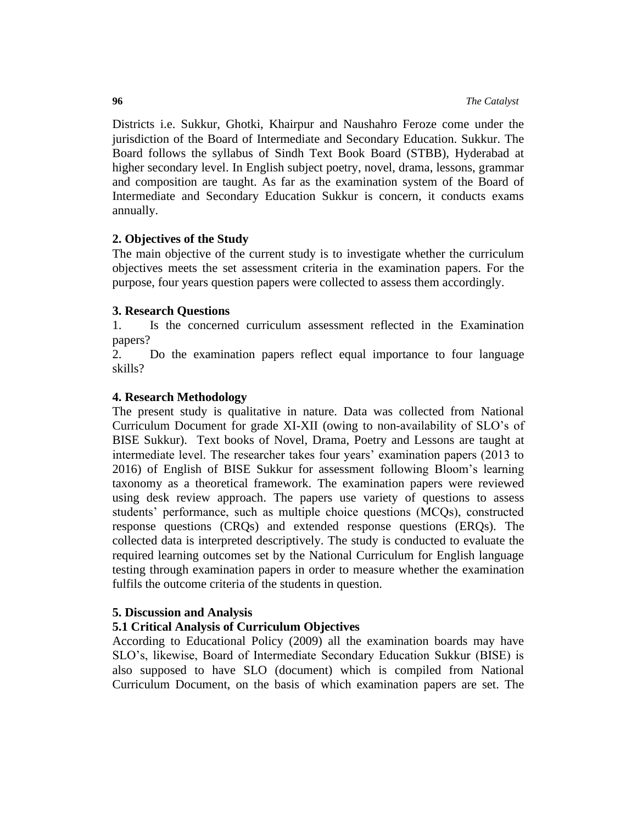Districts i.e. Sukkur, Ghotki, Khairpur and Naushahro Feroze come under the jurisdiction of the Board of Intermediate and Secondary Education. Sukkur. The Board follows the syllabus of Sindh Text Book Board (STBB), Hyderabad at higher secondary level. In English subject poetry, novel, drama, lessons, grammar and composition are taught. As far as the examination system of the Board of Intermediate and Secondary Education Sukkur is concern, it conducts exams annually.

## **2. Objectives of the Study**

The main objective of the current study is to investigate whether the curriculum objectives meets the set assessment criteria in the examination papers. For the purpose, four years question papers were collected to assess them accordingly.

## **3. Research Questions**

1. Is the concerned curriculum assessment reflected in the Examination papers?

2. Do the examination papers reflect equal importance to four language skills?

## **4. Research Methodology**

The present study is qualitative in nature. Data was collected from National Curriculum Document for grade XI-XII (owing to non-availability of SLO's of BISE Sukkur). Text books of Novel, Drama, Poetry and Lessons are taught at intermediate level. The researcher takes four years' examination papers (2013 to 2016) of English of BISE Sukkur for assessment following Bloom's learning taxonomy as a theoretical framework. The examination papers were reviewed using desk review approach. The papers use variety of questions to assess students' performance, such as multiple choice questions (MCQs), constructed response questions (CRQs) and extended response questions (ERQs). The collected data is interpreted descriptively. The study is conducted to evaluate the required learning outcomes set by the National Curriculum for English language testing through examination papers in order to measure whether the examination fulfils the outcome criteria of the students in question.

## **5. Discussion and Analysis**

## **5.1 Critical Analysis of Curriculum Objectives**

According to Educational Policy (2009) all the examination boards may have SLO's, likewise, Board of Intermediate Secondary Education Sukkur (BISE) is also supposed to have SLO (document) which is compiled from National Curriculum Document, on the basis of which examination papers are set. The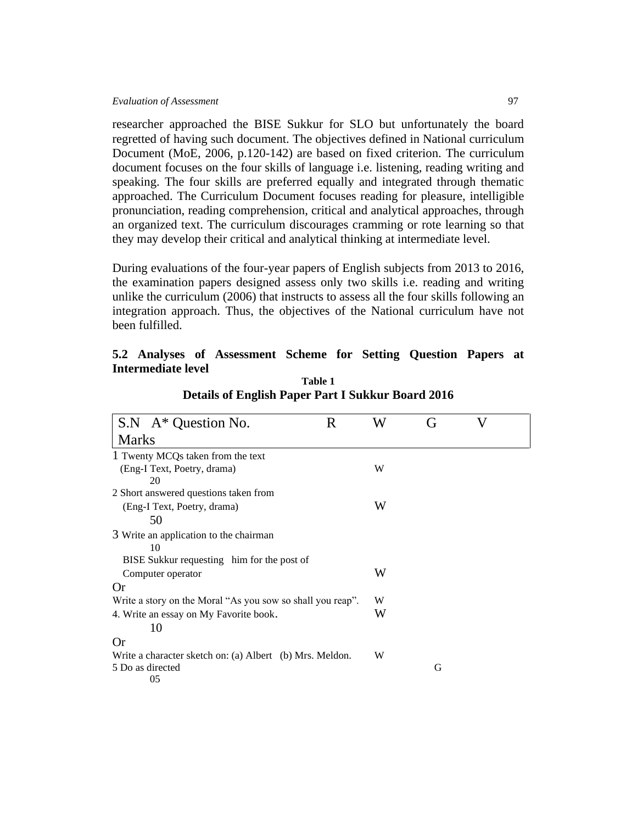researcher approached the BISE Sukkur for SLO but unfortunately the board regretted of having such document. The objectives defined in National curriculum Document (MoE, 2006, p.120-142) are based on fixed criterion. The curriculum document focuses on the four skills of language i.e. listening, reading writing and speaking. The four skills are preferred equally and integrated through thematic approached. The Curriculum Document focuses reading for pleasure, intelligible pronunciation, reading comprehension, critical and analytical approaches, through an organized text. The curriculum discourages cramming or rote learning so that they may develop their critical and analytical thinking at intermediate level.

During evaluations of the four-year papers of English subjects from 2013 to 2016, the examination papers designed assess only two skills i.e. reading and writing unlike the curriculum (2006) that instructs to assess all the four skills following an integration approach. Thus, the objectives of the National curriculum have not been fulfilled.

|                    | 5.2 Analyses of Assessment Scheme for Setting Question Papers at |  |  |  |
|--------------------|------------------------------------------------------------------|--|--|--|
| Intermediate level |                                                                  |  |  |  |

| $S.N$ A <sup>*</sup> Question No.                          | R | W | (ì | V |  |
|------------------------------------------------------------|---|---|----|---|--|
| <b>Marks</b>                                               |   |   |    |   |  |
| 1 Twenty MCQs taken from the text                          |   |   |    |   |  |
| (Eng-I Text, Poetry, drama)                                |   | W |    |   |  |
| 20                                                         |   |   |    |   |  |
| 2 Short answered questions taken from                      |   |   |    |   |  |
| (Eng-I Text, Poetry, drama)                                |   | W |    |   |  |
| 50                                                         |   |   |    |   |  |
| 3 Write an application to the chairman                     |   |   |    |   |  |
| 10                                                         |   |   |    |   |  |
| BISE Sukkur requesting him for the post of                 |   |   |    |   |  |
| Computer operator                                          |   | W |    |   |  |
| Or                                                         |   |   |    |   |  |
| Write a story on the Moral "As you sow so shall you reap". |   | W |    |   |  |
| 4. Write an essay on My Favorite book.                     |   | W |    |   |  |
| 10                                                         |   |   |    |   |  |
| Or                                                         |   |   |    |   |  |
| Write a character sketch on: (a) Albert (b) Mrs. Meldon.   |   | W |    |   |  |
| 5 Do as directed                                           |   |   | G  |   |  |
| 05                                                         |   |   |    |   |  |

**Table 1 Details of English Paper Part I Sukkur Board 2016**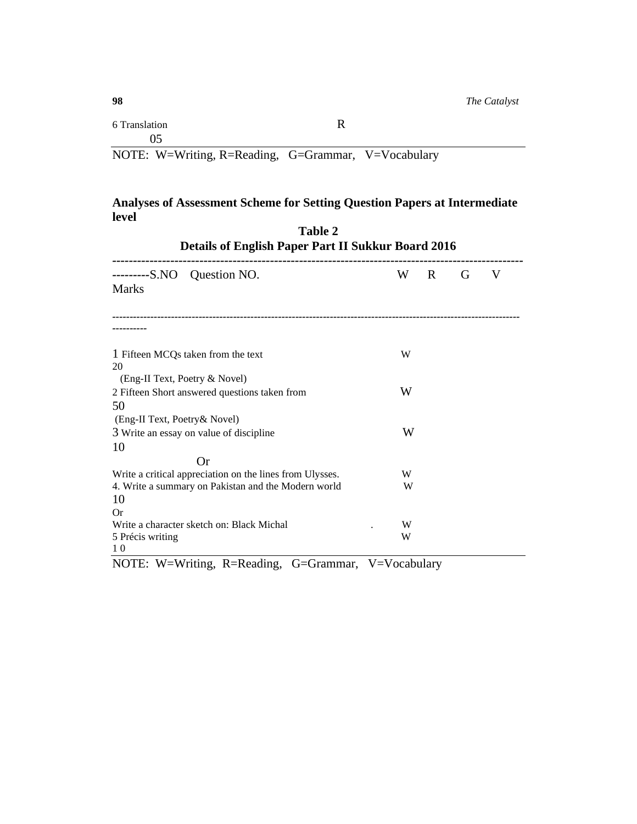## **Analyses of Assessment Scheme for Setting Question Papers at Intermediate level Table 2**

| Table 2<br><b>Details of English Paper Part II Sukkur Board 2016</b>                                            |        |   |   |   |  |  |
|-----------------------------------------------------------------------------------------------------------------|--------|---|---|---|--|--|
| Question NO.<br>---------S.NO<br><b>Marks</b>                                                                   | W      | R | G | V |  |  |
|                                                                                                                 |        |   |   |   |  |  |
| 1 Fifteen MCQs taken from the text<br>20                                                                        | W      |   |   |   |  |  |
| (Eng-II Text, Poetry & Novel)<br>2 Fifteen Short answered questions taken from                                  | W      |   |   |   |  |  |
| 50<br>(Eng-II Text, Poetry& Novel)<br>3 Write an essay on value of discipline                                   | W      |   |   |   |  |  |
| 10<br><b>Or</b>                                                                                                 |        |   |   |   |  |  |
| Write a critical appreciation on the lines from Ulysses.<br>4. Write a summary on Pakistan and the Modern world | W<br>W |   |   |   |  |  |
| 10<br>Or<br>Write a character sketch on: Black Michal                                                           | W      |   |   |   |  |  |
| 5 Précis writing<br>10                                                                                          | W      |   |   |   |  |  |

NOTE: W=Writing, R=Reading, G=Grammar, V=Vocabulary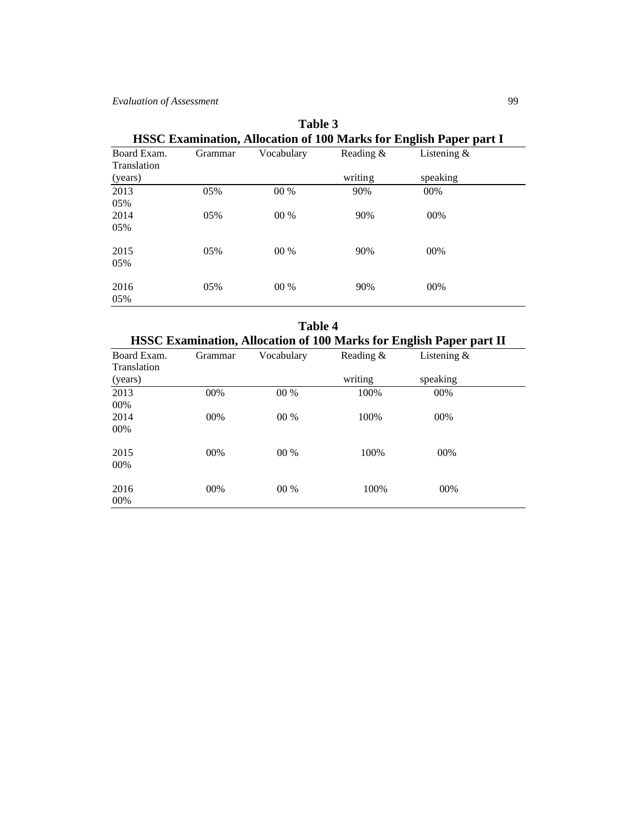|                            | HSSC Examination, Allocation of Two Marks for English Paper part I |            |              |                |  |  |  |  |
|----------------------------|--------------------------------------------------------------------|------------|--------------|----------------|--|--|--|--|
| Board Exam.<br>Translation | Grammar                                                            | Vocabulary | Reading $\&$ | Listening $\&$ |  |  |  |  |
| (years)                    |                                                                    |            | writing      | speaking       |  |  |  |  |
| 2013                       | 05%                                                                | $00\%$     | 90%          | 00%            |  |  |  |  |
| 05%                        |                                                                    |            |              |                |  |  |  |  |
| 2014                       | 05%                                                                | $00\%$     | 90%          | 00%            |  |  |  |  |
| 05%                        |                                                                    |            |              |                |  |  |  |  |
| 2015                       | 05%                                                                | 00 %       | 90%          | 00%            |  |  |  |  |
| 05%                        |                                                                    |            |              |                |  |  |  |  |
| 2016                       | 05%                                                                | $00\%$     | 90%          | 00%            |  |  |  |  |
| 05%                        |                                                                    |            |              |                |  |  |  |  |

| <b>Table 3</b>                                                            |  |
|---------------------------------------------------------------------------|--|
| <b>HSSC Examination, Allocation of 100 Marks for English Paper part I</b> |  |

|                            |                                                                            | Table 4    |           |                |  |  |  |
|----------------------------|----------------------------------------------------------------------------|------------|-----------|----------------|--|--|--|
|                            | <b>HSSC Examination, Allocation of 100 Marks for English Paper part II</b> |            |           |                |  |  |  |
| Board Exam.<br>Translation | Grammar                                                                    | Vocabulary | Reading & | Listening $\&$ |  |  |  |
| (years)                    |                                                                            |            | writing   | speaking       |  |  |  |
| 2013<br>00%                | 00%                                                                        | $00\%$     | 100%      | 00%            |  |  |  |
| 2014<br>00%                | 00%                                                                        | $00\%$     | 100%      | 00%            |  |  |  |
| 2015<br>00%                | $00\%$                                                                     | $00\%$     | 100%      | 00%            |  |  |  |
| 2016<br>00%                | 00%                                                                        | $00\%$     | 100%      | 00%            |  |  |  |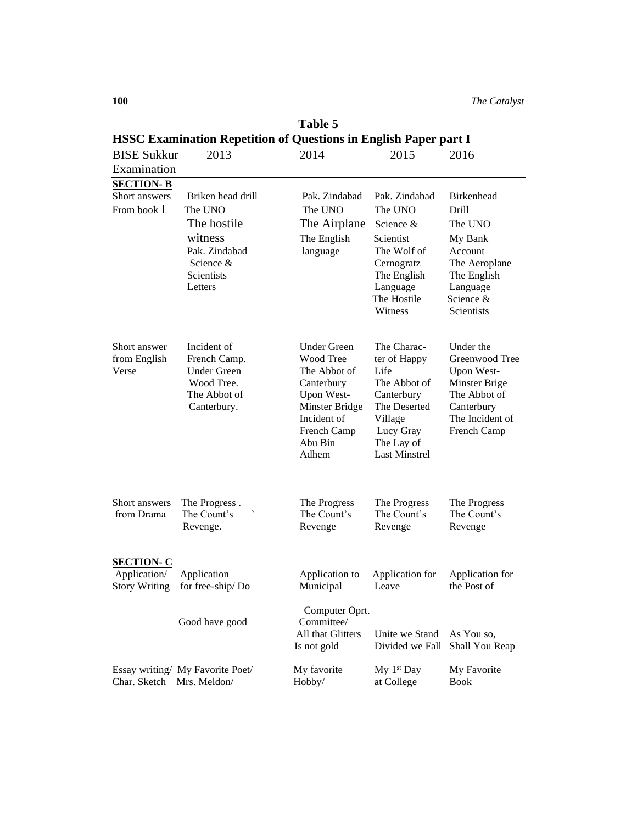|                                      | <b>HSSC Examination Repetition of Questions in English Paper part I</b> |                                  |                                   |                                |  |  |  |  |  |
|--------------------------------------|-------------------------------------------------------------------------|----------------------------------|-----------------------------------|--------------------------------|--|--|--|--|--|
| <b>BISE Sukkur</b>                   | 2013                                                                    | 2014                             | 2015                              | 2016                           |  |  |  |  |  |
| Examination                          |                                                                         |                                  |                                   |                                |  |  |  |  |  |
| <b>SECTION-B</b>                     |                                                                         |                                  |                                   |                                |  |  |  |  |  |
| Short answers                        | Briken head drill                                                       | Pak. Zindabad                    | Pak. Zindabad                     | <b>Birkenhead</b>              |  |  |  |  |  |
| From book I                          | The UNO                                                                 | The UNO                          | The UNO                           | Drill                          |  |  |  |  |  |
|                                      | The hostile                                                             | The Airplane                     | Science &                         | The UNO                        |  |  |  |  |  |
|                                      | witness                                                                 | The English                      | Scientist                         | My Bank                        |  |  |  |  |  |
|                                      | Pak. Zindabad                                                           | language                         | The Wolf of                       | Account                        |  |  |  |  |  |
|                                      | Science $&$<br>Scientists                                               |                                  | Cernogratz                        | The Aeroplane                  |  |  |  |  |  |
|                                      | Letters                                                                 |                                  | The English<br>Language           | The English<br>Language        |  |  |  |  |  |
|                                      |                                                                         |                                  | The Hostile                       | Science &                      |  |  |  |  |  |
|                                      |                                                                         |                                  | Witness                           | <b>Scientists</b>              |  |  |  |  |  |
|                                      |                                                                         |                                  |                                   |                                |  |  |  |  |  |
| Short answer                         | Incident of                                                             | <b>Under Green</b>               | The Charac-                       | Under the                      |  |  |  |  |  |
| from English                         | French Camp.                                                            | Wood Tree                        | ter of Happy                      | Greenwood Tree                 |  |  |  |  |  |
| Verse                                | <b>Under Green</b>                                                      | The Abbot of                     | Life                              | Upon West-                     |  |  |  |  |  |
|                                      | Wood Tree.                                                              | Canterbury                       | The Abbot of                      | Minster Brige                  |  |  |  |  |  |
|                                      | The Abbot of                                                            | Upon West-                       | Canterbury<br>The Deserted        | The Abbot of                   |  |  |  |  |  |
|                                      | Canterbury.                                                             | Minster Bridge<br>Incident of    | Village                           | Canterbury<br>The Incident of  |  |  |  |  |  |
|                                      |                                                                         | French Camp                      | Lucy Gray                         | French Camp                    |  |  |  |  |  |
|                                      |                                                                         | Abu Bin                          | The Lay of                        |                                |  |  |  |  |  |
|                                      |                                                                         | Adhem                            | <b>Last Minstrel</b>              |                                |  |  |  |  |  |
|                                      |                                                                         |                                  |                                   |                                |  |  |  |  |  |
| Short answers                        | The Progress.                                                           | The Progress                     | The Progress                      | The Progress                   |  |  |  |  |  |
| from Drama                           | The Count's                                                             | The Count's                      | The Count's                       | The Count's                    |  |  |  |  |  |
|                                      | Revenge.                                                                | Revenge                          | Revenge                           | Revenge                        |  |  |  |  |  |
|                                      |                                                                         |                                  |                                   |                                |  |  |  |  |  |
| <b>SECTION-C</b>                     |                                                                         |                                  |                                   |                                |  |  |  |  |  |
| Application/<br><b>Story Writing</b> | Application<br>for free-ship/Do                                         | Application to<br>Municipal      | Application for<br>Leave          | Application for<br>the Post of |  |  |  |  |  |
|                                      |                                                                         |                                  |                                   |                                |  |  |  |  |  |
|                                      |                                                                         | Computer Oprt.                   |                                   |                                |  |  |  |  |  |
|                                      | Good have good                                                          | Committee/                       |                                   |                                |  |  |  |  |  |
|                                      |                                                                         | All that Glitters<br>Is not gold | Unite we Stand<br>Divided we Fall | As You so,<br>Shall You Reap   |  |  |  |  |  |
|                                      |                                                                         |                                  |                                   |                                |  |  |  |  |  |
|                                      | Essay writing/ My Favorite Poet/                                        | My favorite                      | My 1 <sup>st</sup> Day            | My Favorite                    |  |  |  |  |  |
| Char. Sketch Mrs. Meldon/            |                                                                         | Hobby/                           | at College                        | <b>Book</b>                    |  |  |  |  |  |

**Table 5**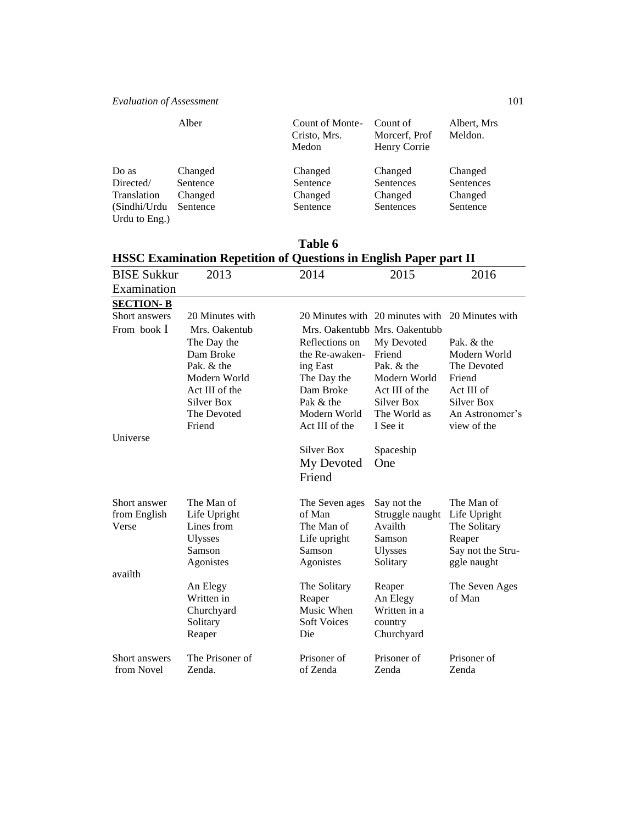|                               | Alber    | Count of Monte-<br>Cristo, Mrs.<br>Medon | Count of<br>Morcerf, Prof<br>Henry Corrie | Albert, Mrs<br>Meldon. |
|-------------------------------|----------|------------------------------------------|-------------------------------------------|------------------------|
| Do as                         | Changed  | Changed                                  | Changed                                   | Changed                |
| Directed/                     | Sentence | Sentence                                 | Sentences                                 | Sentences              |
| Translation                   | Changed  | Changed                                  | Changed                                   | Changed                |
| (Sindhi/Urdu<br>Urdu to Eng.) | Sentence | Sentence                                 | Sentences                                 | Sentence               |

## **Table 6 HSSC Examination Repetition of Questions in English Paper part II**

| <b>BISE Sukkur</b> | 2013                   | 2014                           | 2015                                            | 2016                           |
|--------------------|------------------------|--------------------------------|-------------------------------------------------|--------------------------------|
| Examination        |                        |                                |                                                 |                                |
| <b>SECTION-B</b>   |                        |                                |                                                 |                                |
| Short answers      | 20 Minutes with        |                                | 20 Minutes with 20 minutes with 20 Minutes with |                                |
| From book I        | Mrs. Oakentub          |                                | Mrs. Oakentubb Mrs. Oakentubb                   |                                |
|                    | The Day the            | Reflections on                 | My Devoted                                      | Pak. & the                     |
|                    | Dam Broke              | the Re-awaken-                 | Friend                                          | Modern World                   |
|                    | Pak. & the             | ing East                       | Pak. & the                                      | The Devoted                    |
|                    | Modern World           | The Day the                    | Modern World                                    | Friend                         |
|                    | Act III of the         | Dam Broke                      | Act III of the                                  | Act III of                     |
|                    | Silver Box             | Pak & the                      | <b>Silver Box</b>                               | Silver Box                     |
|                    | The Devoted<br>Friend  | Modern World<br>Act III of the | The World as<br>I See it                        | An Astronomer's<br>view of the |
| Universe           |                        |                                |                                                 |                                |
|                    |                        | Silver Box                     | Spaceship                                       |                                |
|                    |                        | My Devoted                     | One                                             |                                |
|                    |                        | Friend                         |                                                 |                                |
|                    |                        |                                |                                                 |                                |
| Short answer       | The Man of             | The Seven ages                 | Say not the                                     | The Man of                     |
| from English       | Life Upright           | of Man                         | Struggle naught                                 | Life Upright                   |
| Verse              | Lines from             | The Man of                     | Availth                                         | The Solitary                   |
|                    | <b>Ulysses</b>         | Life upright                   | Samson                                          | Reaper                         |
|                    | Samson                 | Samson                         | <b>Ulysses</b>                                  | Say not the Stru-              |
|                    | Agonistes              | Agonistes                      | Solitary                                        | ggle naught                    |
| availth            |                        |                                |                                                 |                                |
|                    | An Elegy               | The Solitary                   | Reaper                                          | The Seven Ages                 |
|                    | Written in             | Reaper<br>Music When           | An Elegy<br>Written in a                        | of Man                         |
|                    | Churchyard<br>Solitary | <b>Soft Voices</b>             | country                                         |                                |
|                    | Reaper                 | Die                            | Churchyard                                      |                                |
|                    |                        |                                |                                                 |                                |
| Short answers      | The Prisoner of        | Prisoner of                    | Prisoner of                                     | Prisoner of                    |
| from Novel         | Zenda.                 | of Zenda                       | Zenda                                           | Zenda                          |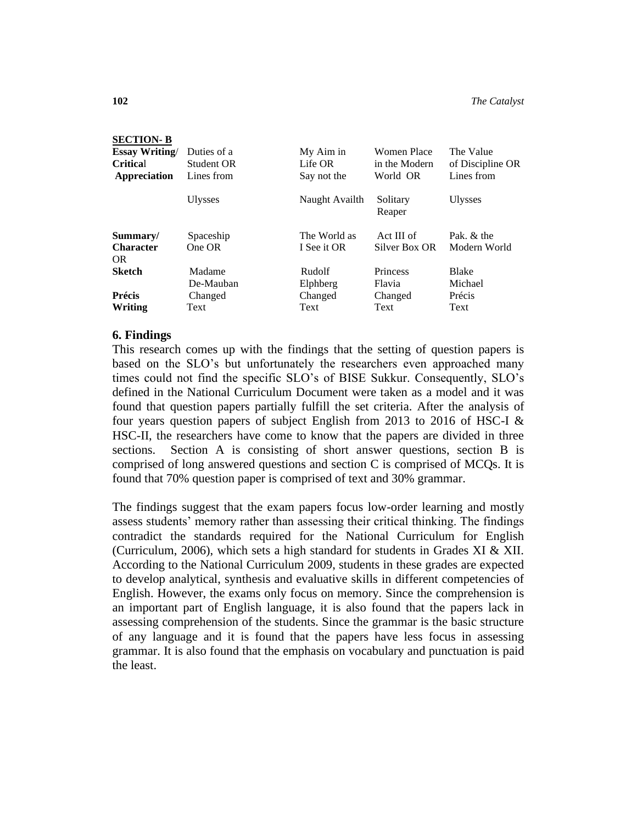### **SECTION- B**

| <b>Essay Writing</b><br><b>Critical</b><br>Appreciation | Duties of a<br>Student OR<br>Lines from | My Aim in<br>Life OR<br>Say not the | Women Place<br>in the Modern<br>World OR | The Value<br>of Discipline OR<br>Lines from |
|---------------------------------------------------------|-----------------------------------------|-------------------------------------|------------------------------------------|---------------------------------------------|
|                                                         | <b>Ulysses</b>                          | Naught Availth                      | Solitary<br>Reaper                       | <b>Ulysses</b>                              |
| Summary/<br><b>Character</b><br><b>OR</b>               | Spaceship<br>One OR                     | The World as<br>I See it OR         | Act III of<br>Silver Box OR              | Pak. & the<br>Modern World                  |
| <b>Sketch</b>                                           | Madame<br>De-Mauban                     | Rudolf<br>Elphberg                  | Princess<br>Flavia                       | <b>Blake</b><br>Michael                     |
| Précis                                                  | Changed                                 | Changed                             | Changed                                  | Précis                                      |
| Writing                                                 | Text                                    | Text                                | Text                                     | Text                                        |

## **6. Findings**

This research comes up with the findings that the setting of question papers is based on the SLO's but unfortunately the researchers even approached many times could not find the specific SLO's of BISE Sukkur. Consequently, SLO's defined in the National Curriculum Document were taken as a model and it was found that question papers partially fulfill the set criteria. After the analysis of four years question papers of subject English from 2013 to 2016 of HSC-I  $&$ HSC-II, the researchers have come to know that the papers are divided in three sections. Section A is consisting of short answer questions, section B is comprised of long answered questions and section C is comprised of MCQs. It is found that 70% question paper is comprised of text and 30% grammar.

The findings suggest that the exam papers focus low-order learning and mostly assess students' memory rather than assessing their critical thinking. The findings contradict the standards required for the National Curriculum for English (Curriculum, 2006), which sets a high standard for students in Grades XI & XII. According to the National Curriculum 2009, students in these grades are expected to develop analytical, synthesis and evaluative skills in different competencies of English. However, the exams only focus on memory. Since the comprehension is an important part of English language, it is also found that the papers lack in assessing comprehension of the students. Since the grammar is the basic structure of any language and it is found that the papers have less focus in assessing grammar. It is also found that the emphasis on vocabulary and punctuation is paid the least.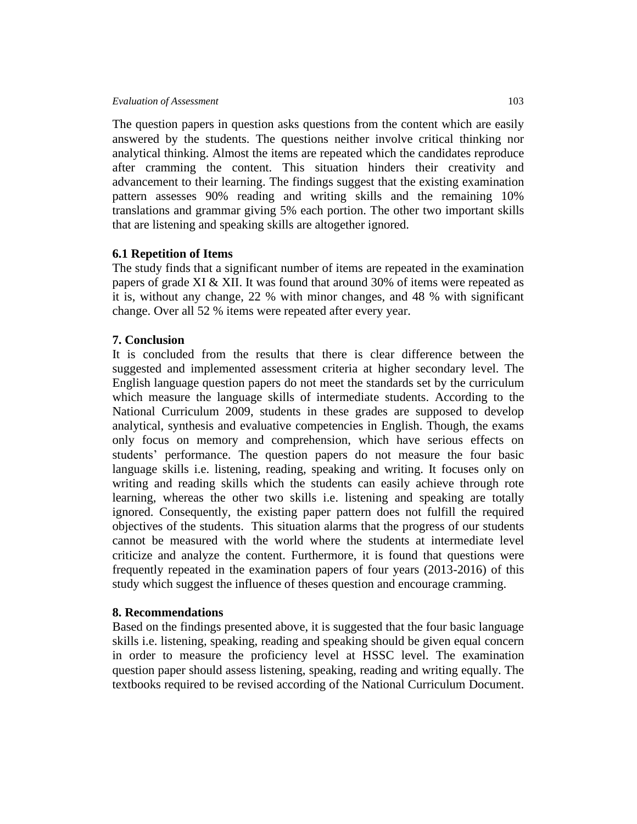#### *Evaluation of Assessment*103

The question papers in question asks questions from the content which are easily answered by the students. The questions neither involve critical thinking nor analytical thinking. Almost the items are repeated which the candidates reproduce after cramming the content. This situation hinders their creativity and advancement to their learning. The findings suggest that the existing examination pattern assesses 90% reading and writing skills and the remaining 10% translations and grammar giving 5% each portion. The other two important skills that are listening and speaking skills are altogether ignored.

## **6.1 Repetition of Items**

The study finds that a significant number of items are repeated in the examination papers of grade XI & XII. It was found that around 30% of items were repeated as it is, without any change, 22 % with minor changes, and 48 % with significant change. Over all 52 % items were repeated after every year.

## **7. Conclusion**

It is concluded from the results that there is clear difference between the suggested and implemented assessment criteria at higher secondary level. The English language question papers do not meet the standards set by the curriculum which measure the language skills of intermediate students. According to the National Curriculum 2009, students in these grades are supposed to develop analytical, synthesis and evaluative competencies in English. Though, the exams only focus on memory and comprehension, which have serious effects on students' performance. The question papers do not measure the four basic language skills i.e. listening, reading, speaking and writing. It focuses only on writing and reading skills which the students can easily achieve through rote learning, whereas the other two skills i.e. listening and speaking are totally ignored. Consequently, the existing paper pattern does not fulfill the required objectives of the students. This situation alarms that the progress of our students cannot be measured with the world where the students at intermediate level criticize and analyze the content. Furthermore, it is found that questions were frequently repeated in the examination papers of four years (2013-2016) of this study which suggest the influence of theses question and encourage cramming.

## **8. Recommendations**

Based on the findings presented above, it is suggested that the four basic language skills i.e. listening, speaking, reading and speaking should be given equal concern in order to measure the proficiency level at HSSC level. The examination question paper should assess listening, speaking, reading and writing equally. The textbooks required to be revised according of the National Curriculum Document.